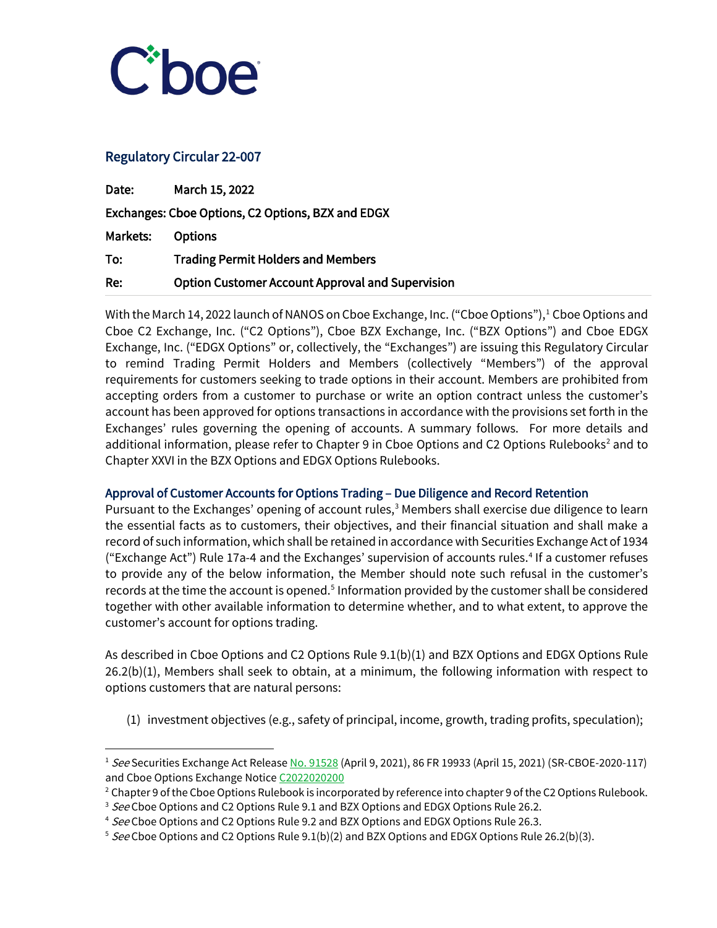

# Regulatory Circular 22-007

I

| Date:                                             | March 15, 2022                                          |
|---------------------------------------------------|---------------------------------------------------------|
| Exchanges: Cboe Options, C2 Options, BZX and EDGX |                                                         |
| Markets:                                          | <b>Options</b>                                          |
| To:                                               | <b>Trading Permit Holders and Members</b>               |
| Re:                                               | <b>Option Customer Account Approval and Supervision</b> |

With the March 14, 2022 launch of NANOS on Cboe Exchange, Inc. ("Cboe Options"),<sup>1</sup> Cboe Options and Cboe C2 Exchange, Inc. ("C2 Options"), Cboe BZX Exchange, Inc. ("BZX Options") and Cboe EDGX Exchange, Inc. ("EDGX Options" or, collectively, the "Exchanges") are issuing this Regulatory Circular to remind Trading Permit Holders and Members (collectively "Members") of the approval requirements for customers seeking to trade options in their account. Members are prohibited from accepting orders from a customer to purchase or write an option contract unless the customer's account has been approved for options transactions in accordance with the provisions set forth in the Exchanges' rules governing the opening of accounts. A summary follows. For more details and additional information, please refer to Chapter 9 in Cboe Options and C[2](#page-0-1) Options Rulebooks<sup>2</sup> and to Chapter XXVI in the BZX Options and EDGX Options Rulebooks.

## Approval of Customer Accounts for Options Trading – Due Diligence and Record Retention

Pursuant to the Exchanges' opening of account rules,<sup>3</sup> Members shall exercise due diligence to learn the essential facts as to customers, their objectives, and their financial situation and shall make a record of such information, which shall be retained in accordance with Securities Exchange Act of 1934 ("Exchange Act") Rule 17a-4 and the Exchanges' supervision of accounts rules.[4](#page-0-3) If a customer refuses to provide any of the below information, the Member should note such refusal in the customer's records at the time the account is opened.<sup>[5](#page-0-4)</sup> Information provided by the customer shall be considered together with other available information to determine whether, and to what extent, to approve the customer's account for options trading.

As described in Cboe Options and C2 Options Rule 9.1(b)(1) and BZX Options and EDGX Options Rule 26.2(b)(1), Members shall seek to obtain, at a minimum, the following information with respect to options customers that are natural persons:

(1) investment objectives (e.g., safety of principal, income, growth, trading profits, speculation);

<span id="page-0-0"></span><sup>&</sup>lt;sup>1</sup> See Securities Exchange Act Release [No. 91528](https://www.sec.gov/rules/sro/cboe/2021/34-91528.pdf) (April 9, 2021), 86 FR 19933 (April 15, 2021) (SR-CBOE-2020-117) and Cboe Options Exchange Notice C2022020200<br><sup>2</sup> Chapter 9 of the Cboe Options Rulebook is incorporated by reference into chapter 9 of the C2 Options Rulebook.

<span id="page-0-1"></span>

<span id="page-0-2"></span><sup>&</sup>lt;sup>3</sup> See Cboe Options and C2 Options Rule 9.1 and BZX Options and EDGX Options Rule 26.2.

<span id="page-0-3"></span><sup>&</sup>lt;sup>4</sup> See Cboe Options and C2 Options Rule 9.2 and BZX Options and EDGX Options Rule 26.3.

<span id="page-0-4"></span><sup>&</sup>lt;sup>5</sup> See Cboe Options and C2 Options Rule  $9.1(b)(2)$  and BZX Options and EDGX Options Rule 26.2(b)(3).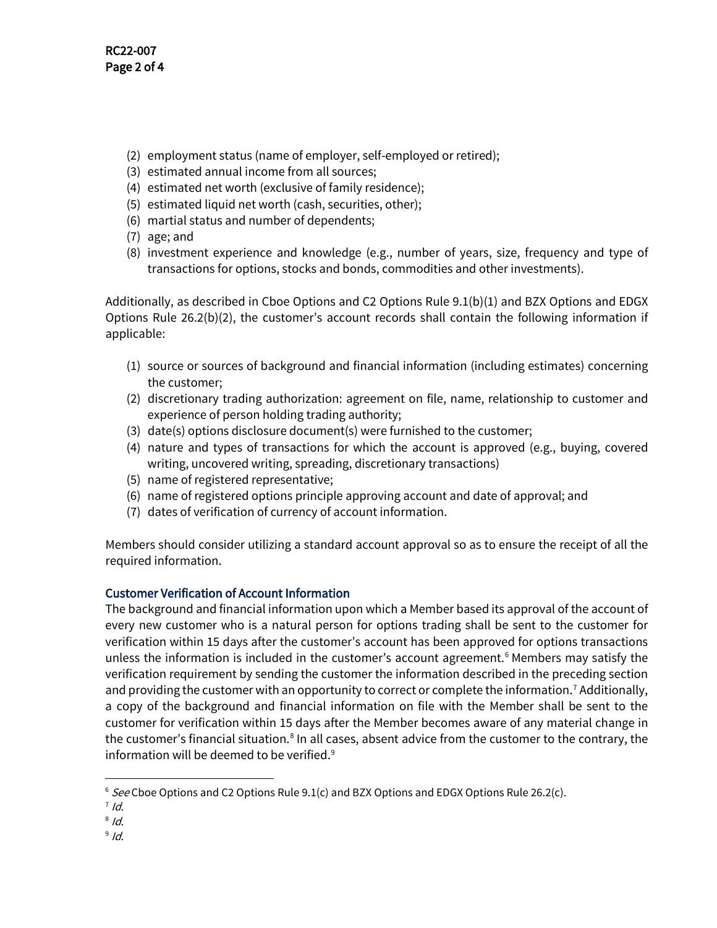- (2) employment status (name of employer, self-employed or retired);
- (3) estimated annual income from all sources;
- (4) estimated net worth (exclusive of family residence);
- (5) estimated liquid net worth (cash, securities, other);
- (6) martial status and number of dependents;
- (7) age; and
- (8) investment experience and knowledge (e.g., number of years, size, frequency and type of transactions for options, stocks and bonds, commodities and other investments).

Additionally, as described in Cboe Options and C2 Options Rule 9.1(b)(1) and BZX Options and EDGX Options Rule 26.2(b)(2), the customer's account records shall contain the following information if applicable:

- (1) source or sources of background and financial information (including estimates) concerning the customer;
- (2) discretionary trading authorization: agreement on file, name, relationship to customer and experience of person holding trading authority;
- (3) date(s) options disclosure document(s) were furnished to the customer;
- (4) nature and types of transactions for which the account is approved (e.g., buying, covered writing, uncovered writing, spreading, discretionary transactions)
- (5) name of registered representative;
- (6) name of registered options principle approving account and date of approval; and
- (7) dates of verification of currency of account information.

Members should consider utilizing a standard account approval so as to ensure the receipt of all the required information.

## Customer Verification of Account Information

The background and financial information upon which a Member based its approval of the account of every new customer who is a natural person for options trading shall be sent to the customer for verification within 15 days after the customer's account has been approved for options transactions unless the information is included in the customer's account agreement. [6](#page-1-0) Members may satisfy the verification requirement by sending the customer the information described in the preceding section and providing the customer with an opportunity to correct or complete the information.<sup>[7](#page-1-1)</sup> Additionally, a copy of the background and financial information on file with the Member shall be sent to the customer for verification within 15 days after the Member becomes aware of any material change in the customer's financial situation.<sup>[8](#page-1-2)</sup> In all cases, absent advice from the customer to the contrary, the information will be deemed to be verified.<sup>[9](#page-1-3)</sup>

 $9/d$ .

<span id="page-1-0"></span> $6$  See Cboe Options and C2 Options Rule 9.1(c) and BZX Options and EDGX Options Rule 26.2(c).

<span id="page-1-1"></span> $7$  Id.

<span id="page-1-3"></span><span id="page-1-2"></span> $8$  Id.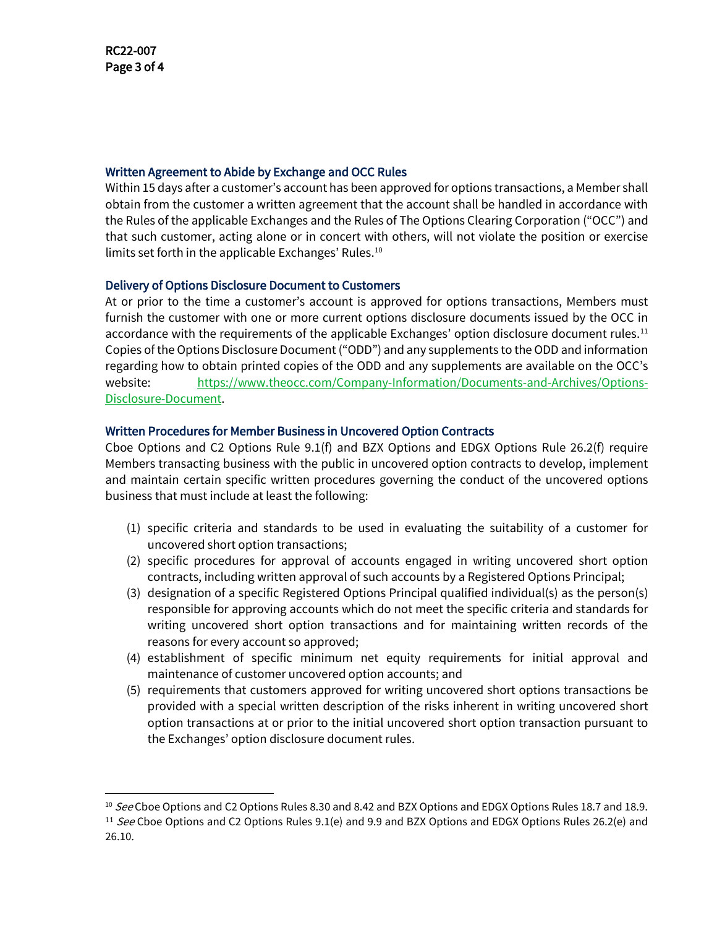#### Written Agreement to Abide by Exchange and OCC Rules

Within 15 days after a customer's account has been approved for options transactions, a Member shall obtain from the customer a written agreement that the account shall be handled in accordance with the Rules of the applicable Exchanges and the Rules of The Options Clearing Corporation ("OCC") and that such customer, acting alone or in concert with others, will not violate the position or exercise limits set forth in the applicable Exchanges' Rules.<sup>[10](#page-2-0)</sup>

## Delivery of Options Disclosure Document to Customers

At or prior to the time a customer's account is approved for options transactions, Members must furnish the customer with one or more current options disclosure documents issued by the OCC in accordance with the requirements of the applicable Exchanges' option disclosure document rules.<sup>[11](#page-2-1)</sup> Copies of the Options Disclosure Document ("ODD") and any supplements to the ODD and information regarding how to obtain printed copies of the ODD and any supplements are available on the OCC's website: [https://www.theocc.com/Company-Information/Documents-and-Archives/Options-](https://www.theocc.com/Company-Information/Documents-and-Archives/Options-Disclosure-Document)[Disclosure-Document.](https://www.theocc.com/Company-Information/Documents-and-Archives/Options-Disclosure-Document)

#### Written Procedures for Member Business in Uncovered Option Contracts

Cboe Options and C2 Options Rule 9.1(f) and BZX Options and EDGX Options Rule 26.2(f) require Members transacting business with the public in uncovered option contracts to develop, implement and maintain certain specific written procedures governing the conduct of the uncovered options business that must include at least the following:

- (1) specific criteria and standards to be used in evaluating the suitability of a customer for uncovered short option transactions;
- (2) specific procedures for approval of accounts engaged in writing uncovered short option contracts, including written approval of such accounts by a Registered Options Principal;
- (3) designation of a specific Registered Options Principal qualified individual(s) as the person(s) responsible for approving accounts which do not meet the specific criteria and standards for writing uncovered short option transactions and for maintaining written records of the reasons for every account so approved;
- (4) establishment of specific minimum net equity requirements for initial approval and maintenance of customer uncovered option accounts; and
- (5) requirements that customers approved for writing uncovered short options transactions be provided with a special written description of the risks inherent in writing uncovered short option transactions at or prior to the initial uncovered short option transaction pursuant to the Exchanges' option disclosure document rules.

<span id="page-2-0"></span><sup>&</sup>lt;sup>10</sup> See Cboe Options and C2 Options Rules 8.30 and 8.42 and BZX Options and EDGX Options Rules 18.7 and 18.9.

<span id="page-2-1"></span><sup>&</sup>lt;sup>11</sup> See Cboe Options and C2 Options Rules 9.1(e) and 9.9 and BZX Options and EDGX Options Rules 26.2(e) and 26.10.